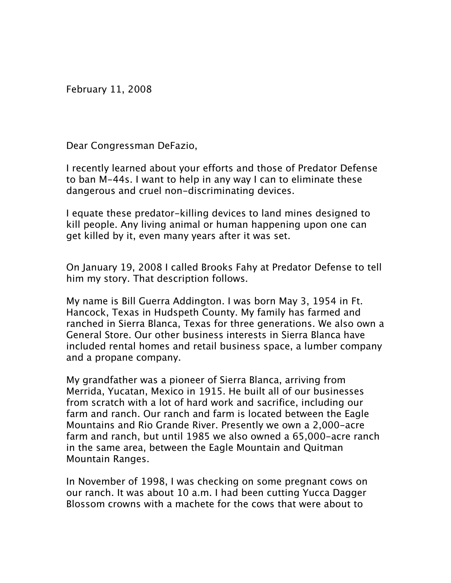February 11, 2008

Dear Congressman DeFazio,

I recently learned about your efforts and those of Predator Defense to ban M-44s. I want to help in any way I can to eliminate these dangerous and cruel non-discriminating devices.

I equate these predator-killing devices to land mines designed to kill people. Any living animal or human happening upon one can get killed by it, even many years after it was set.

On January 19, 2008 I called Brooks Fahy at Predator Defense to tell him my story. That description follows.

My name is Bill Guerra Addington. I was born May 3, 1954 in Ft. Hancock, Texas in Hudspeth County. My family has farmed and ranched in Sierra Blanca, Texas for three generations. We also own a General Store. Our other business interests in Sierra Blanca have included rental homes and retail business space, a lumber company and a propane company.

My grandfather was a pioneer of Sierra Blanca, arriving from Merrida, Yucatan, Mexico in 1915. He built all of our businesses from scratch with a lot of hard work and sacrifice, including our farm and ranch. Our ranch and farm is located between the Eagle Mountains and Rio Grande River. Presently we own a 2,000-acre farm and ranch, but until 1985 we also owned a 65,000-acre ranch in the same area, between the Eagle Mountain and Quitman Mountain Ranges.

In November of 1998, I was checking on some pregnant cows on our ranch. It was about 10 a.m. I had been cutting Yucca Dagger Blossom crowns with a machete for the cows that were about to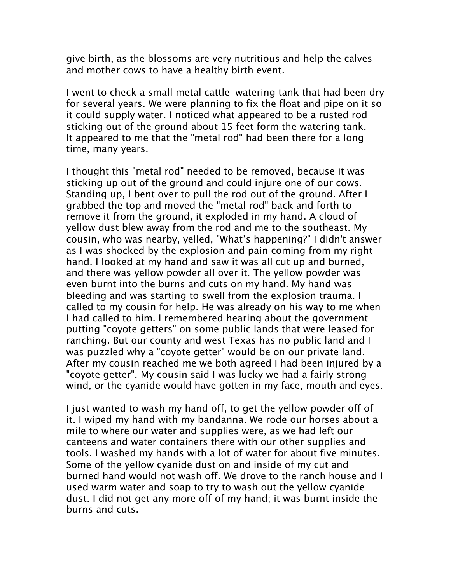give birth, as the blossoms are very nutritious and help the calves and mother cows to have a healthy birth event.

I went to check a small metal cattle-watering tank that had been dry for several years. We were planning to fix the float and pipe on it so it could supply water. I noticed what appeared to be a rusted rod sticking out of the ground about 15 feet form the watering tank. It appeared to me that the "metal rod" had been there for a long time, many years.

I thought this "metal rod" needed to be removed, because it was sticking up out of the ground and could injure one of our cows. Standing up, I bent over to pull the rod out of the ground. After I grabbed the top and moved the "metal rod" back and forth to remove it from the ground, it exploded in my hand. A cloud of yellow dust blew away from the rod and me to the southeast. My cousin, who was nearby, yelled, "What's happening?" I didn't answer as I was shocked by the explosion and pain coming from my right hand. I looked at my hand and saw it was all cut up and burned, and there was yellow powder all over it. The yellow powder was even burnt into the burns and cuts on my hand. My hand was bleeding and was starting to swell from the explosion trauma. I called to my cousin for help. He was already on his way to me when I had called to him. I remembered hearing about the government putting "coyote getters" on some public lands that were leased for ranching. But our county and west Texas has no public land and I was puzzled why a "coyote getter" would be on our private land. After my cousin reached me we both agreed I had been injured by a "coyote getter". My cousin said I was lucky we had a fairly strong wind, or the cyanide would have gotten in my face, mouth and eyes.

I just wanted to wash my hand off, to get the yellow powder off of it. I wiped my hand with my bandanna. We rode our horses about a mile to where our water and supplies were, as we had left our canteens and water containers there with our other supplies and tools. I washed my hands with a lot of water for about five minutes. Some of the yellow cyanide dust on and inside of my cut and burned hand would not wash off. We drove to the ranch house and I used warm water and soap to try to wash out the yellow cyanide dust. I did not get any more off of my hand; it was burnt inside the burns and cuts.